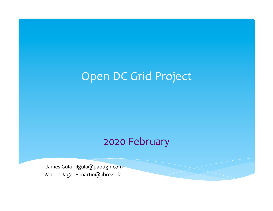## Open DC Grid Project

### 2020 February

James Gula - jlgula@papugh.com Martin Jäger - martin@libre.solar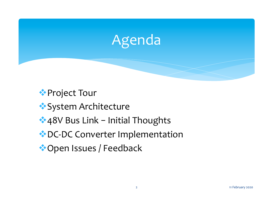

**External Project Tour** 

- \*System Architecture
- $*$  48V Bus Link Initial Thoughts
- \* DC-DC Converter Implementation
- ◆ Open Issues / Feedback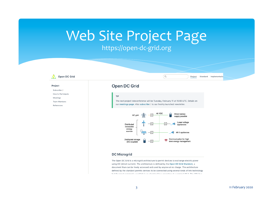## Web Site Project Page

### https://open-dc-grid.org



#### **DC Microgrid**

The Open DC Grid is a microgrid architecture to permit devices to exchange electric power using DC (direct current). The architecture is defined by the Open DC Grid Standard, a document than can be freely accessed and used by anyone at no charge. The architecture defined by the standard permits devices to be connected using several kinds of link technology but the meet commenly used link is an electrical bus operating at a nominal 49 V. The 48V bus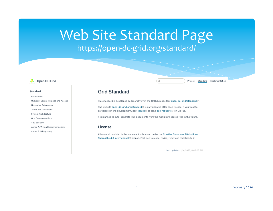## Web Site Standard Page https://open-dc-grid.org/standard/



#### **Standard**

Introduction Oveview: Scope, Purpose and Access Normative References **Terms and Definitions** System Architecture **Grid Communications** 48V Bus Link Annex A: Wiring Recommendations Annex B: Biblography

### **Grid Standard**

This standard is developed collaboratively in the GitHub repository open-dc-grid/standard [3].

Q

The website open-dc-grid.org/standard is only updated after each release. If you want to participate in the development, post issues is or send pull-requests is on GitHub.

It is planned to auto-generate PDF documents from the markdown source files in the future.

#### License

All material provided in this document is licensed under the Creative Commons Attribution-ShareAlike 4.0 International <a>C license. Feel free to reuse, revise, remix and redistribute it.

Last Updated: 1/14/2020, 8:48:23 PM

Project

Standard

Implementation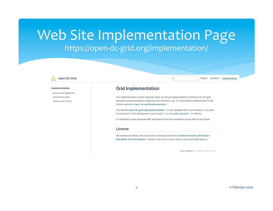### Web Site Implementation Page https://open-dc-grid.org/implementation/



#### Implementation

Devices and Appliances Grid Infrastructure Stability and Control

### **Grid Implementation**

This implementation section describe ideas for actual implementation of devices for the grid and gives recommendations regarding wire thickness, etc. It is developed collaboratively in the GitHub repository open-dc-grid/implementation<sup>[2]</sup>.

(Q

The website open-dc-grid.org/implementation<sup>e</sup> is only updated after each release. If you want to participate in the development, post issues is or send pull-requests is on GitHub.

It is planned to auto-generate PDF documents from the markdown source files in the future.

#### License

All material provided in this document is licensed under the Creative Commons Attribution-ShareAlike 4.0 International L' license. Feel free to reuse, revise, remix and redistribute it.

Last Updated: 1/14/2020, 8:56:04 PM

Project Standard

Implementation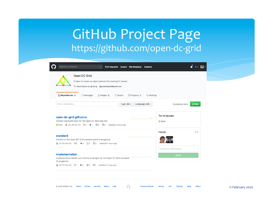## GitHub Project Page https://github.com/open-dc-grid

| Search or jump to<br>Pull requests Issues Marketplace Explore<br>$\vert$ /<br>Open DC Grid<br>Project to create an open standard for sharing DC power.<br>Ohttps://open-dc-grid.org<br><br>$\boxtimes$ opendcgrid@gmail.com | $\blacktriangle$ + $\blacktriangleright$<br>$\mathbb{R}^n$ |
|-----------------------------------------------------------------------------------------------------------------------------------------------------------------------------------------------------------------------------|------------------------------------------------------------|
|                                                                                                                                                                                                                             |                                                            |
|                                                                                                                                                                                                                             |                                                            |
| Repositories 3<br>$\mathbb{H}$ Projects 1<br><b>Teams</b><br><b>C</b> Settings<br><b><i><u>D</u> Packages</i></b><br>People 2                                                                                               |                                                            |
| Language: All -<br>Find a repository<br>Type: $All -$<br>Customize pins                                                                                                                                                     | $\n  New\n$                                                |
| Top languages<br>open-dc-grid.github.io<br>⋏<br>Content and build tools for the Open DC Grid web site<br>Shell                                                                                                              |                                                            |
| People<br>standard<br>Content of the Open DC Grid standard (work in progress)<br>dis CC-BY-SA-4.0 $\sqrt[9]{0}$ ★ 0 ① 0 110 Updated 7 hours ago<br>Invite your teammates                                                    | 2 >                                                        |
| implementation<br>Invite<br>Implementation details and reference designs for the Open DC Grid standard<br>(in progress).<br>dis CC-BY-SA-4.0 \\$ 1 ★ 0 ① 0 \\\$1 Updated 21 days ago                                        |                                                            |

Contact GitHub Pricing API Training Blog About 11 February 2020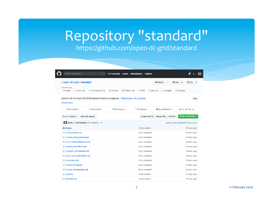# Repository "standard"

### https://github.com/open-dc-grid/standard

| Search or jump to                                                                                        | $\lceil$ / $\rceil$      | <b>Pull requests</b><br><b>Issues</b> | Marketplace                               | <b>Explore</b>                                      |                                                         |
|----------------------------------------------------------------------------------------------------------|--------------------------|---------------------------------------|-------------------------------------------|-----------------------------------------------------|---------------------------------------------------------|
| □ open-dc-grid / standard                                                                                |                          |                                       |                                           | $\odot$ Watch $\sim$<br>1                           | Y Fork<br>$\bigstar$ Star<br>$\mathbf 0$<br>$\mathbf 0$ |
| <> Code<br>1 Issues 0                                                                                    | <b>n</b> Pull requests 0 | C Actions                             | $\mathbb{H}$ Projects 0<br><b>EE Wiki</b> | Security<br>III Insights                            | Settings                                                |
| Content of the Open DC Grid standard (work in progress) https://open-dc-grid.org<br><b>Manage topics</b> |                          |                                       |                                           |                                                     | Edit                                                    |
| <b>D</b> 2 commits                                                                                       | <b>12</b> branches       | <b><sup>1</sup>0</b> packages         | $\circ$ 0 releases                        | 11 2 contributors                                   | do CC-BY-SA-4.0                                         |
| Branch: master -                                                                                         | New pull request         |                                       |                                           | Find file<br>Create new file<br><b>Upload files</b> | Clone or download +                                     |
| igula and martinjaeger Early snapshot                                                                    |                          |                                       |                                           |                                                     | Latest commit 9e4e5fd 21 hours ago                      |
| images                                                                                                   |                          |                                       | Initial commit                            |                                                     | 27 days ago                                             |
| $\Box$ 0 introduction.md                                                                                 |                          |                                       | Early snapshot                            |                                                     | 8 hours ago                                             |
| 1_scope_and_purpose.md                                                                                   |                          |                                       | Early snapshot                            |                                                     | 8 hours ago                                             |
| 2_normative_references.md                                                                                |                          |                                       | Early snapshot                            |                                                     | 8 hours ago                                             |
| 3_terms_definitions.md                                                                                   |                          |                                       | Early snapshot                            |                                                     | 8 hours ago                                             |
| A_system_architecture.md                                                                                 |                          |                                       | Early snapshot                            |                                                     | 8 hours ago                                             |
| 5_grid_communications.md                                                                                 |                          |                                       | Early snapshot                            |                                                     | 8 hours ago                                             |
| $\triangle$ 6 48V bus.md                                                                                 |                          |                                       | Early snapshot                            |                                                     | 8 hours ago                                             |
| <b>E</b> 7_annex_wiring.md                                                                               |                          |                                       | Early snapshot                            |                                                     | 8 hours ago                                             |
| $\triangleq$ 8_annex_bibliography.md                                                                     |                          |                                       | Early snapshot                            |                                                     | 8 hours ago                                             |
| <b>E LICENSE</b>                                                                                         |                          |                                       | Initial commit                            |                                                     | 27 days ago                                             |
| README.md                                                                                                |                          |                                       | Initial commit                            |                                                     | 27 days ago                                             |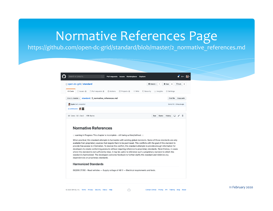## Normative References Page

### https://github.com/open-dc-grid/standard/blob/master/2\_normative\_references.md



 $\bigcirc$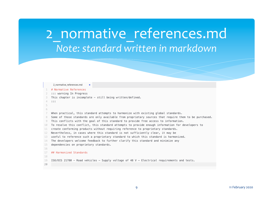## 2\_normative\_references.md *Note: standard written in markdown*

#### 2\_normative\_references.md # Normative References ::: warning In Progress This chapter is incomplete - still being written/defined.  $\pm$ 6 7 When practical, this standard attempts to harmonize with existing global standards. 8 Some of those standards are only available from proprietary sources that require them to be purchased. 9 This conflicts with the goal of this standard to provide free access to information. To resolve this conflict, this standard attempts to provide enough information for developers to 10 create conforming products without requiring reference to proprietary standards. 11 Nevertheless, in cases where this standard is not sufficiently clear, it may be 12 useful to reference such a proprietary standard to which this standard is harmonized. 13 The developers welcome feedback to further clarify this standard and minimize any  $14$ dependencies on proprietary standards. 15 16 17 ## Harmonized Standards 18 19 ISO/DIS 21780 - Road vehicles - Supply voltage of 48 V - Electrical requirements and tests. 20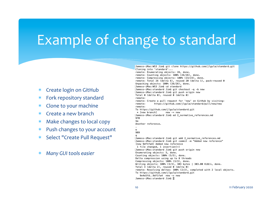## Example of change to standard

- \* Create login on GitHub
- \* Fork repository standard
- Clone to your machine
- Create a new branch
- Make changes to local copy
- Push changes to your account
- Select "Create Pull Request"
- **Many GUI tools easier**

[Jamess-iMac:WS3 Jim\$ git clone https://github.com/jlgula/standard.git Cloning into 'standard'... remote: Enumerating objects: 26, done. remote: Counting objects: 100% (26/26), done. remote: Compressing objects: 100% (23/23), done. remote: Total 26 (delta 6), reused 20 (delta 1), pack-reused 0 Unpacking objects: 100% (26/26), done. [Jamess-iMac:WS3 Jim\$ cd standard [Jamess-iMac:standard Jim\$ git checkout -q -b new [Jamess-iMac:standard Jim\$ git push origin new Total 0 (delta 0), reused 0 (delta 0) remote: remote: Create a pull request for 'new' on GitHub by visiting: remote: https://github.com/jlgula/standard/pull/new/new remote: To https://github.com/jlgula/standard.git \* [new branch]  $new \rightarrow new$ [Jamess-iMac:standard Jim\$ ed 2\_normative\_references.md 970 \$a Another reference. 989 [Jamess-iMac:standard Jim\$ git add 2\_normative\_references.md [Jamess-iMac:standard Jim\$ git commit -m "Added new reference" [new 9df1fa4] Added new reference 1 file changed, 1 insertion(+) [Jamess-iMac:standard Jim\$ git push origin new Enumerating objects: 5, done. Counting objects: 100% (5/5), done. Delta compression using up to 8 threads Compressing objects: 100% (3/3), done. Writing objects: 100% (3/3), 303 bytes | 303.00 KiB/s, done. Total 3 (delta 2), reused 0 (delta 0) remote: Resolving deltas: 100% (2/2), completed with 2 local objects. To https://github.com/jlgula/standard.git 9e4e5fd..9df1fa4 new -> new Jamess-iMac:standard Jim\$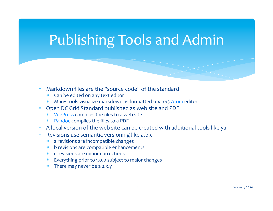# Publishing Tools and Admin

- $*$  Markdown files are the "source code" of the standard
	- \* Can be edited on any text editor
	- \* Many tools visualize markdown as formatted text eg. Atom editor
- Open DC Grid Standard published as web site and PDF
	- YuePress compiles the files to a web site
	- \* Pandoc compiles the files to a PDF
- \* A local version of the web site can be created with additional tools like yarn
- $*$  Revisions use semantic versioning like a.b.c
	- \* a revisions are incompatible changes
	- b revisions are compatible enhancements
	- $*$  c revisions are minor corrections
	- \* Everything prior to 1.0.0 subject to major changes
	- $*$  There may never be a 2.x.y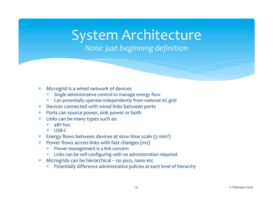# System Architecture

### *Note: just beginning definition*

- \* Microgrid is a wired network of devices
	- Single administrative control to manage energy flow
	- \* Can potentially operate independently from national AC grid
- $*$  Devices connected with wired links between ports
- \* Ports can source power, sink power or both
- $*$  Links can be many types such as:
	- 48V bus
	- \* USB-C
- Energy flows between devices at slow time scale (5 min?)
- $*$  Power flows across links with fast changes (ms)
	- Power management is a link concern
	- \* Links can be self-configuring with no administration required
- \* Microgrids can be hierarchical no pico, nano etc
	- Potentially difference administrative policies at each level of hierarchy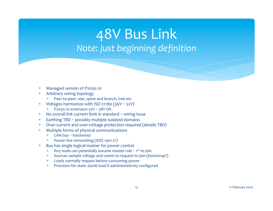## 48V Bus Link *Note: just beginning definition*

- Managed version of P2030.10
- Arbitrary wiring topology
	- Peer-to-peer, star, spine and branch, tree etc
- \* Voltages harmonize with ISO 21780  $(36V 52V)$ 
	- $*$  P2030.10 extension  $52V 58V$  OK
- $*$  No overall link current limit in standard wiring issue
- $*$  Earthing TBD possibly multiple isolated domains
- \* Over-current and over-voltage protection required (details TBD)
- $*$  Multiple forms of physical communications
	- \* CAN bus – hardwired
	- Power line networking (IEEE 1901.2?)
- \* Bus has single logical master for power control
	- \* Any node can potentially assume master role  $-1$ <sup>st</sup> to join
	- \* Sources sample voltage and comm to request to join (bootstrap?)
	- Loads normally request before consuming power
	- \* Provision for static dumb load if administratively configured